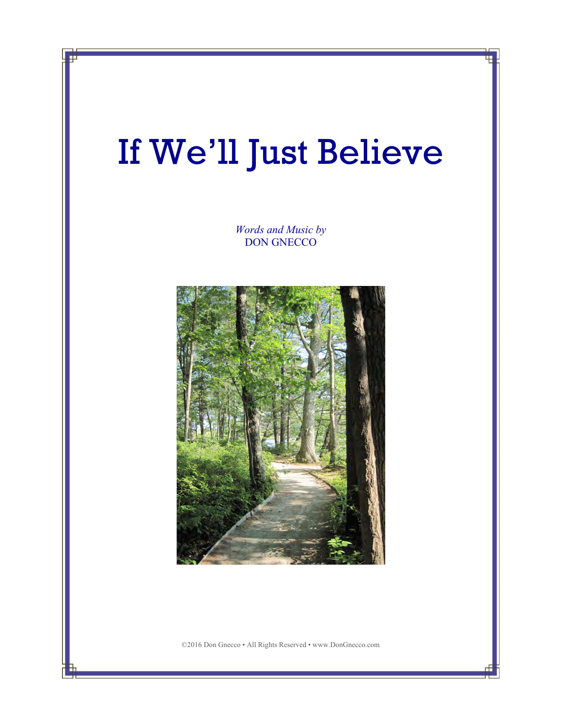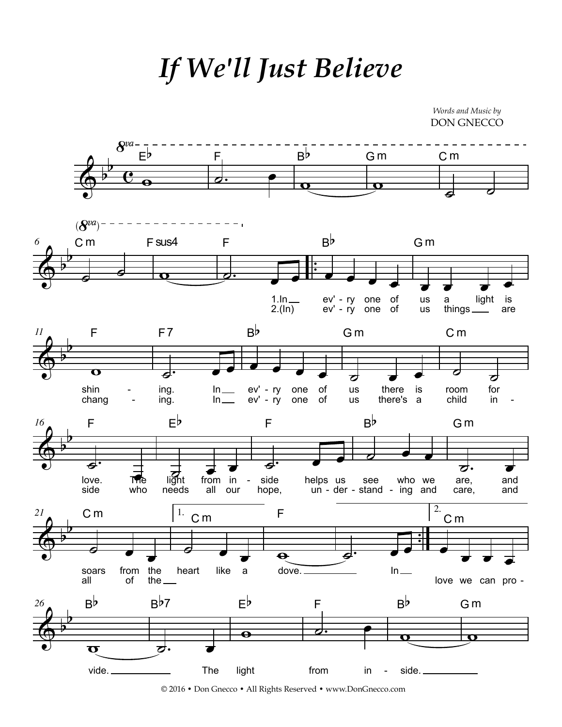*If We'll Just Believe*

*Words and Music by* DON GNECCO



© 2016 • Don Gnecco • All Rights Reserved • www.DonGnecco.com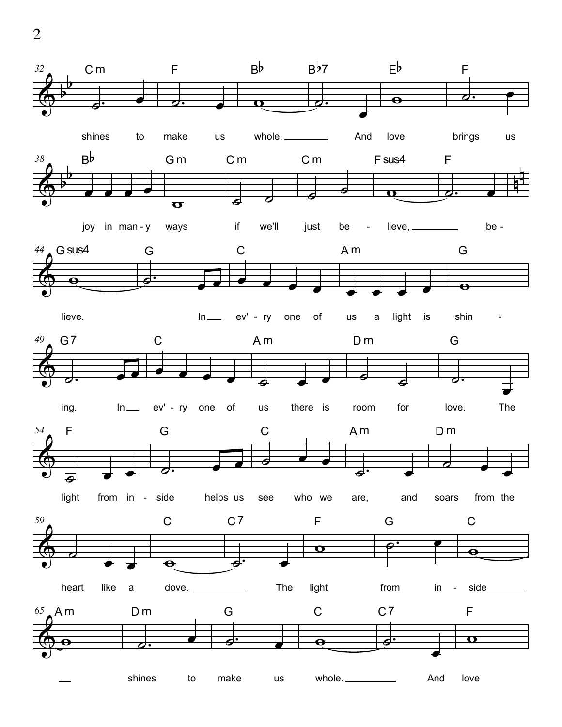